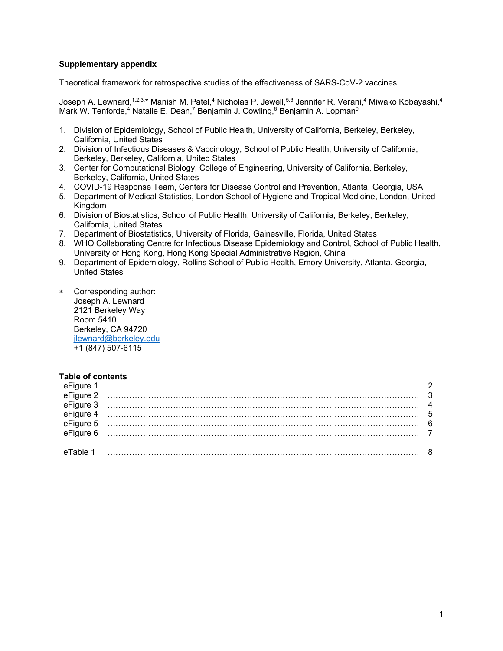## **Supplementary appendix**

Theoretical framework for retrospective studies of the effectiveness of SARS-CoV-2 vaccines

Joseph A. Lewnard,<sup>1,2,3,\*</sup> Manish M. Patel,<sup>4</sup> Nicholas P. Jewell,<sup>5,6</sup> Jennifer R. Verani,<sup>4</sup> Miwako Kobayashi,<sup>4</sup> Mark W. Tenforde,<sup>4</sup> Natalie E. Dean,<sup>7</sup> Benjamin J. Cowling, $8$  Benjamin A. Lopman $9$ 

- 1. Division of Epidemiology, School of Public Health, University of California, Berkeley, Berkeley, California, United States
- 2. Division of Infectious Diseases & Vaccinology, School of Public Health, University of California, Berkeley, Berkeley, California, United States
- 3. Center for Computational Biology, College of Engineering, University of California, Berkeley, Berkeley, California, United States
- 4. COVID-19 Response Team, Centers for Disease Control and Prevention, Atlanta, Georgia, USA
- 5. Department of Medical Statistics, London School of Hygiene and Tropical Medicine, London, United Kingdom
- 6. Division of Biostatistics, School of Public Health, University of California, Berkeley, Berkeley, California, United States
- 7. Department of Biostatistics, University of Florida, Gainesville, Florida, United States
- 8. WHO Collaborating Centre for Infectious Disease Epidemiology and Control, School of Public Health, University of Hong Kong, Hong Kong Special Administrative Region, China
- 9. Department of Epidemiology, Rollins School of Public Health, Emory University, Atlanta, Georgia, United States
- \* Corresponding author: Joseph A. Lewnard 2121 Berkeley Way Room 5410 Berkeley, CA 94720 jlewnard@berkeley.edu +1 (847) 507-6115

## **Table of contents**

|          | $\begin{array}{cccccc}\n\text{efigure 1} & \text{} & 2 \\ \text{efigure 2} & \text{} & 3 \\ \text{efigure 3} & \text{} & 4 \\ \text{efigure 4} & \text{} & 5 \\ \text{efigure 5} & \text{} & 6 \\ \text{efigure 6} & \text{} & 7\n\end{array}$ |  |
|----------|------------------------------------------------------------------------------------------------------------------------------------------------------------------------------------------------------------------------------------------------|--|
| eTable 1 |                                                                                                                                                                                                                                                |  |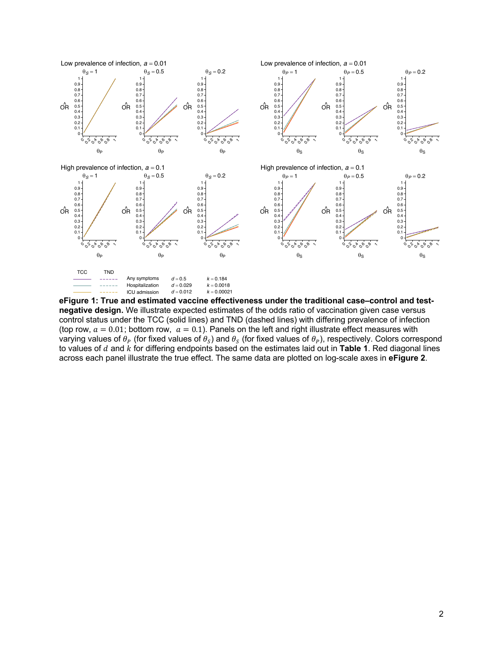

**eFigure 1: True and estimated vaccine effectiveness under the traditional case–control and testnegative design.** We illustrate expected estimates of the odds ratio of vaccination given case versus control status under the TCC (solid lines) and TND (dashed lines) with differing prevalence of infection (top row,  $a = 0.01$ ; bottom row,  $a = 0.1$ ). Panels on the left and right illustrate effect measures with varying values of  $\theta_P$  (for fixed values of  $\theta_S$ ) and  $\theta_S$  (for fixed values of  $\theta_P$ ), respectively. Colors correspond to values of  $d$  and  $k$  for differing endpoints based on the estimates laid out in **Table 1**. Red diagonal lines across each panel illustrate the true effect. The same data are plotted on log-scale axes in **eFigure 2**.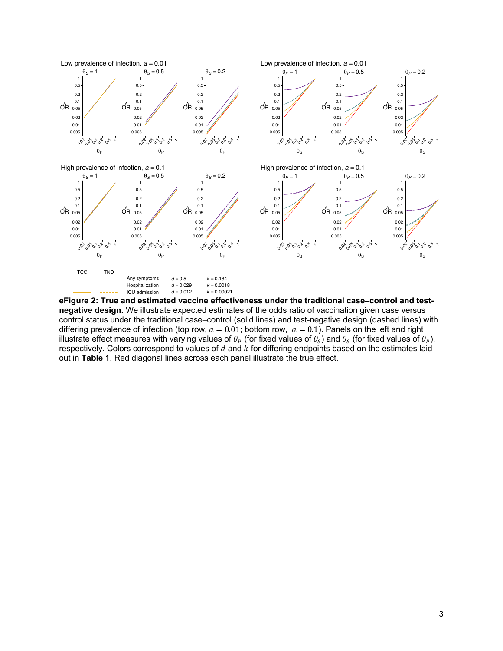

**eFigure 2: True and estimated vaccine effectiveness under the traditional case–control and testnegative design.** We illustrate expected estimates of the odds ratio of vaccination given case versus control status under the traditional case–control (solid lines) and test-negative design (dashed lines) with differing prevalence of infection (top row,  $a = 0.01$ ; bottom row,  $a = 0.1$ ). Panels on the left and right illustrate effect measures with varying values of  $\theta_P$  (for fixed values of  $\theta_S$ ) and  $\theta_S$  (for fixed values of  $\theta_P$ ), respectively. Colors correspond to values of  $d$  and  $k$  for differing endpoints based on the estimates laid out in **Table 1**. Red diagonal lines across each panel illustrate the true effect.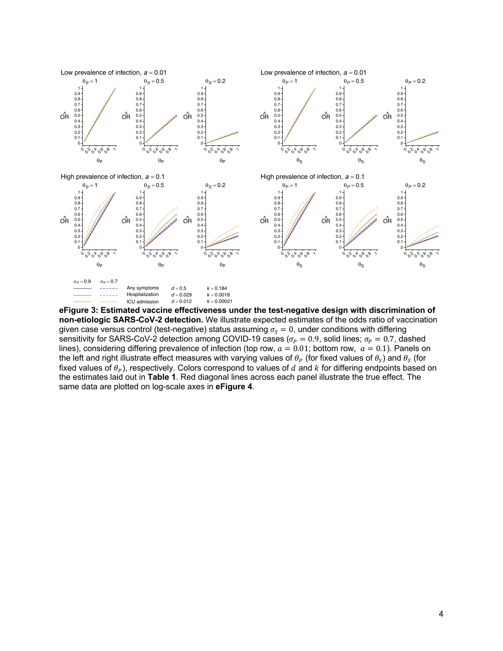

**eFigure 3: Estimated vaccine effectiveness under the test-negative design with discrimination of non-etiologic SARS-CoV-2 detection.** We illustrate expected estimates of the odds ratio of vaccination given case versus control (test-negative) status assuming  $\sigma_S = 0$ , under conditions with differing sensitivity for SARS-CoV-2 detection among COVID-19 cases ( $\sigma_p = 0.9$ , solid lines;  $\sigma_p = 0.7$ , dashed lines), considering differing prevalence of infection (top row,  $a = 0.01$ ; bottom row,  $a = 0.1$ ). Panels on the left and right illustrate effect measures with varying values of  $\theta_P$  (for fixed values of  $\theta_S$ ) and  $\theta_S$  (for fixed values of  $\theta_p$ ), respectively. Colors correspond to values of d and k for differing endpoints based on the estimates laid out in **Table 1**. Red diagonal lines across each panel illustrate the true effect. The same data are plotted on log-scale axes in **eFigure 4**.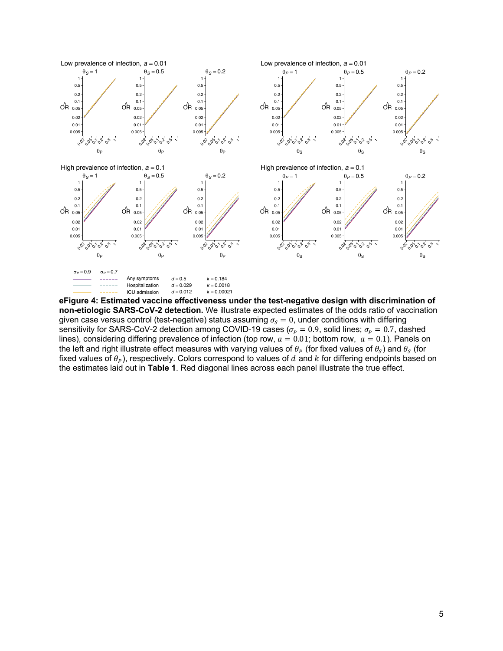

**eFigure 4: Estimated vaccine effectiveness under the test-negative design with discrimination of non-etiologic SARS-CoV-2 detection.** We illustrate expected estimates of the odds ratio of vaccination given case versus control (test-negative) status assuming  $\sigma_s = 0$ , under conditions with differing sensitivity for SARS-CoV-2 detection among COVID-19 cases ( $\sigma_p = 0.9$ , solid lines;  $\sigma_p = 0.7$ , dashed lines), considering differing prevalence of infection (top row,  $a = 0.01$ ; bottom row,  $a = 0.1$ ). Panels on the left and right illustrate effect measures with varying values of  $\theta_p$  (for fixed values of  $\theta_s$ ) and  $\theta_s$  (for fixed values of  $\theta_P$ ), respectively. Colors correspond to values of d and k for differing endpoints based on the estimates laid out in **Table 1**. Red diagonal lines across each panel illustrate the true effect.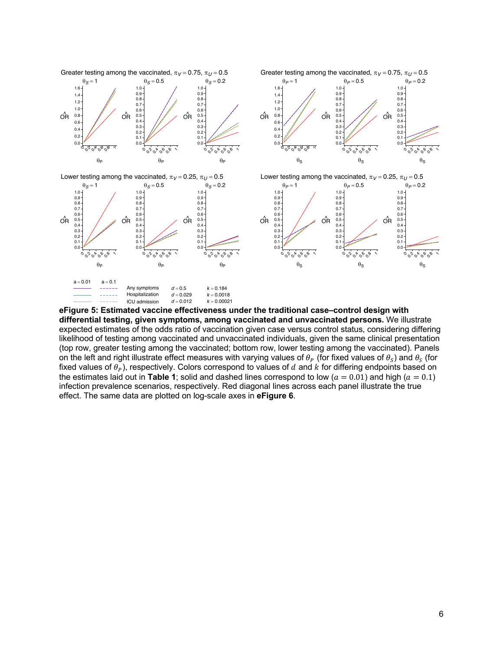

**eFigure 5: Estimated vaccine effectiveness under the traditional case–control design with differential testing, given symptoms, among vaccinated and unvaccinated persons.** We illustrate expected estimates of the odds ratio of vaccination given case versus control status, considering differing likelihood of testing among vaccinated and unvaccinated individuals, given the same clinical presentation (top row, greater testing among the vaccinated; bottom row, lower testing among the vaccinated). Panels on the left and right illustrate effect measures with varying values of  $\theta_P$  (for fixed values of  $\theta_S$ ) and  $\theta_S$  (for fixed values of  $\theta_P$ ), respectively. Colors correspond to values of d and k for differing endpoints based on the estimates laid out in **Table 1**; solid and dashed lines correspond to low ( $a = 0.01$ ) and high ( $a = 0.1$ ) infection prevalence scenarios, respectively. Red diagonal lines across each panel illustrate the true effect. The same data are plotted on log-scale axes in **eFigure 6**.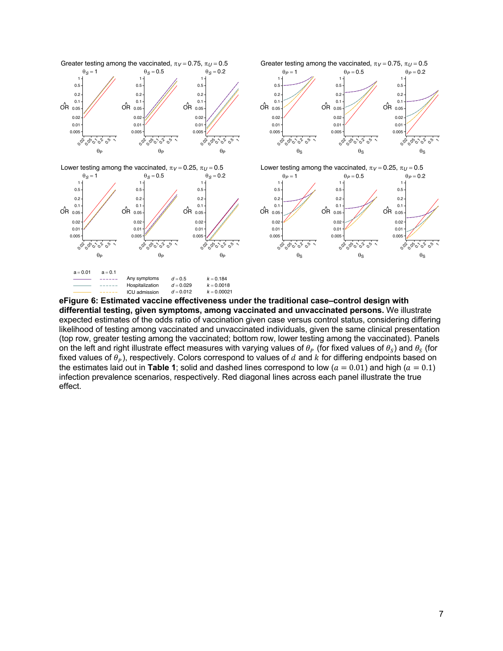

**eFigure 6: Estimated vaccine effectiveness under the traditional case–control design with differential testing, given symptoms, among vaccinated and unvaccinated persons.** We illustrate expected estimates of the odds ratio of vaccination given case versus control status, considering differing likelihood of testing among vaccinated and unvaccinated individuals, given the same clinical presentation (top row, greater testing among the vaccinated; bottom row, lower testing among the vaccinated). Panels on the left and right illustrate effect measures with varying values of  $\theta_P$  (for fixed values of  $\theta_S$ ) and  $\theta_S$  (for fixed values of  $\theta_p$ ), respectively. Colors correspond to values of d and k for differing endpoints based on the estimates laid out in **Table 1**; solid and dashed lines correspond to low ( $a = 0.01$ ) and high ( $a = 0.1$ ) infection prevalence scenarios, respectively. Red diagonal lines across each panel illustrate the true effect.